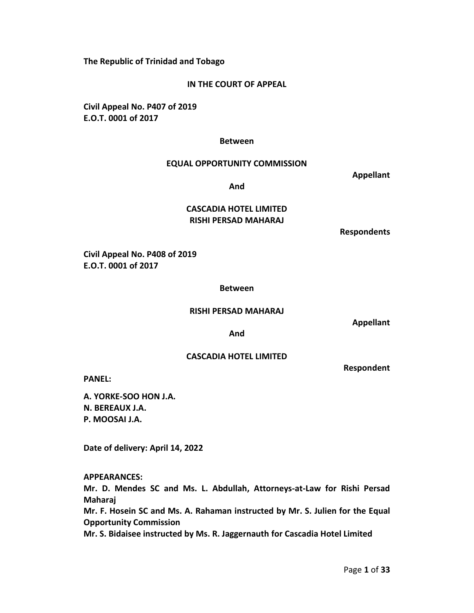**The Republic of Trinidad and Tobago** 

## **IN THE COURT OF APPEAL**

**Civil Appeal No. P407 of 2019 E.O.T. 0001 of 2017**

#### **Between**

#### **EQUAL OPPORTUNITY COMMISSION**

**Appellant**

**And**

# **CASCADIA HOTEL LIMITED RISHI PERSAD MAHARAJ**

**Respondents**

**Civil Appeal No. P408 of 2019 E.O.T. 0001 of 2017**

#### **Between**

#### **RISHI PERSAD MAHARAJ**

**Appellant** 

**And**

# **CASCADIA HOTEL LIMITED**

**Respondent** 

**PANEL:** 

**A. YORKE-SOO HON J.A. N. BEREAUX J.A. P. MOOSAI J.A.** 

**Date of delivery: April 14, 2022**

**APPEARANCES:** 

**Mr. D. Mendes SC and Ms. L. Abdullah, Attorneys-at-Law for Rishi Persad Maharaj** 

**Mr. F. Hosein SC and Ms. A. Rahaman instructed by Mr. S. Julien for the Equal Opportunity Commission** 

**Mr. S. Bidaisee instructed by Ms. R. Jaggernauth for Cascadia Hotel Limited**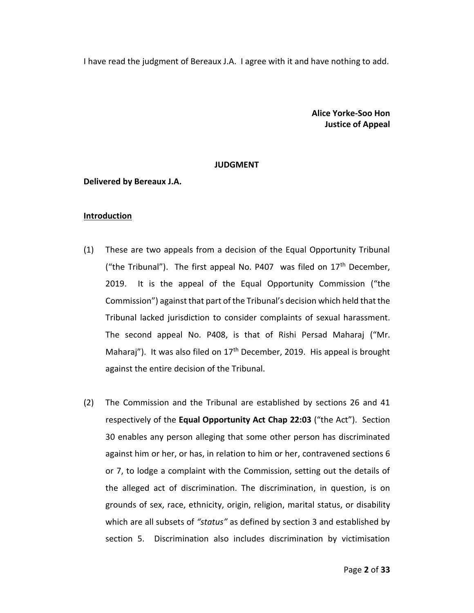I have read the judgment of Bereaux J.A. I agree with it and have nothing to add.

**Alice Yorke-Soo Hon Justice of Appeal**

#### **JUDGMENT**

## **Delivered by Bereaux J.A.**

#### **Introduction**

- (1) These are two appeals from a decision of the Equal Opportunity Tribunal ("the Tribunal"). The first appeal No. P407 was filed on  $17<sup>th</sup>$  December, 2019. It is the appeal of the Equal Opportunity Commission ("the Commission") against that part of the Tribunal's decision which held that the Tribunal lacked jurisdiction to consider complaints of sexual harassment. The second appeal No. P408, is that of Rishi Persad Maharaj ("Mr. Maharaj"). It was also filed on 17<sup>th</sup> December, 2019. His appeal is brought against the entire decision of the Tribunal.
- (2) The Commission and the Tribunal are established by sections 26 and 41 respectively of the **Equal Opportunity Act Chap 22:03** ("the Act"). Section 30 enables any person alleging that some other person has discriminated against him or her, or has, in relation to him or her, contravened sections 6 or 7, to lodge a complaint with the Commission, setting out the details of the alleged act of discrimination. The discrimination, in question, is on grounds of sex, race, ethnicity, origin, religion, marital status, or disability which are all subsets of *"status"* as defined by section 3 and established by section 5. Discrimination also includes discrimination by victimisation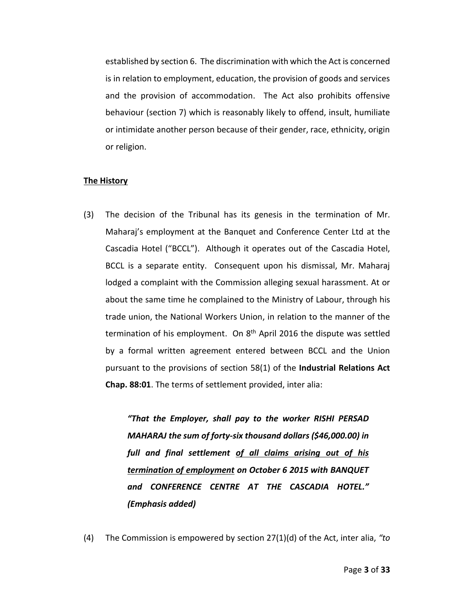established by section 6. The discrimination with which the Act is concerned is in relation to employment, education, the provision of goods and services and the provision of accommodation. The Act also prohibits offensive behaviour (section 7) which is reasonably likely to offend, insult, humiliate or intimidate another person because of their gender, race, ethnicity, origin or religion.

#### **The History**

(3) The decision of the Tribunal has its genesis in the termination of Mr. Maharaj's employment at the Banquet and Conference Center Ltd at the Cascadia Hotel ("BCCL"). Although it operates out of the Cascadia Hotel, BCCL is a separate entity. Consequent upon his dismissal, Mr. Maharaj lodged a complaint with the Commission alleging sexual harassment. At or about the same time he complained to the Ministry of Labour, through his trade union, the National Workers Union, in relation to the manner of the termination of his employment. On 8<sup>th</sup> April 2016 the dispute was settled by a formal written agreement entered between BCCL and the Union pursuant to the provisions of section 58(1) of the **Industrial Relations Act Chap. 88:01**. The terms of settlement provided, inter alia:

> *"That the Employer, shall pay to the worker RISHI PERSAD MAHARAJ the sum of forty-six thousand dollars (\$46,000.00) in full and final settlement of all claims arising out of his termination of employment on October 6 2015 with BANQUET and CONFERENCE CENTRE AT THE CASCADIA HOTEL." (Emphasis added)*

(4) The Commission is empowered by section 27(1)(d) of the Act, inter alia, *"to*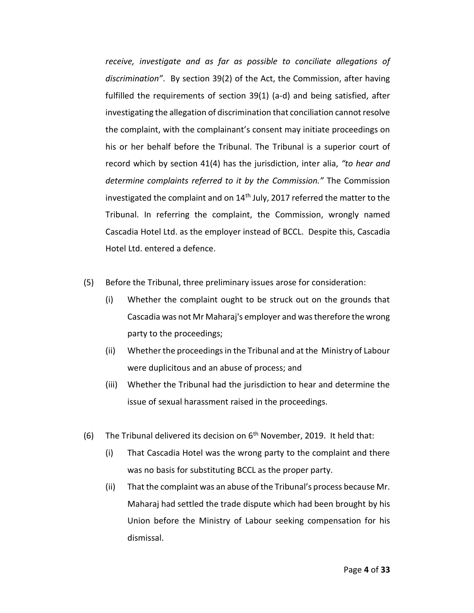*receive, investigate and as far as possible to conciliate allegations of discrimination"*. By section 39(2) of the Act, the Commission, after having fulfilled the requirements of section 39(1) (a-d) and being satisfied, after investigating the allegation of discrimination that conciliation cannot resolve the complaint, with the complainant's consent may initiate proceedings on his or her behalf before the Tribunal. The Tribunal is a superior court of record which by section 41(4) has the jurisdiction, inter alia, *"to hear and determine complaints referred to it by the Commission."* The Commission investigated the complaint and on  $14<sup>th</sup>$  July, 2017 referred the matter to the Tribunal. In referring the complaint, the Commission, wrongly named Cascadia Hotel Ltd. as the employer instead of BCCL. Despite this, Cascadia Hotel Ltd. entered a defence.

- (5) Before the Tribunal, three preliminary issues arose for consideration:
	- (i) Whether the complaint ought to be struck out on the grounds that Cascadia was not Mr Maharaj's employer and was therefore the wrong party to the proceedings;
	- (ii) Whether the proceedings in the Tribunal and at the Ministry of Labour were duplicitous and an abuse of process; and
	- (iii) Whether the Tribunal had the jurisdiction to hear and determine the issue of sexual harassment raised in the proceedings.
- (6) The Tribunal delivered its decision on  $6<sup>th</sup>$  November, 2019. It held that:
	- (i) That Cascadia Hotel was the wrong party to the complaint and there was no basis for substituting BCCL as the proper party.
	- (ii) That the complaint was an abuse of the Tribunal's process because Mr. Maharaj had settled the trade dispute which had been brought by his Union before the Ministry of Labour seeking compensation for his dismissal.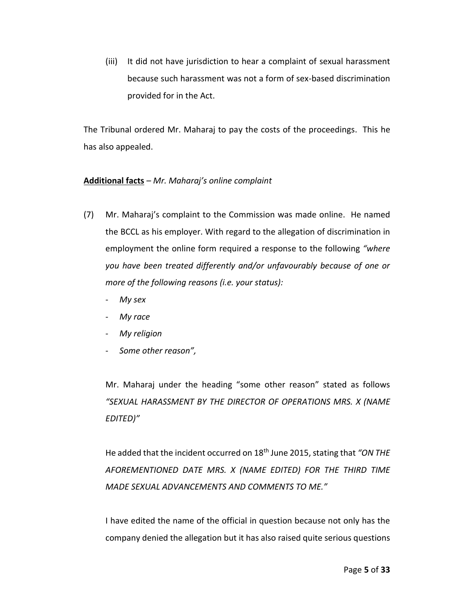(iii) It did not have jurisdiction to hear a complaint of sexual harassment because such harassment was not a form of sex-based discrimination provided for in the Act.

The Tribunal ordered Mr. Maharaj to pay the costs of the proceedings. This he has also appealed.

# **Additional facts** *– Mr. Maharaj's online complaint*

- (7) Mr. Maharaj's complaint to the Commission was made online. He named the BCCL as his employer. With regard to the allegation of discrimination in employment the online form required a response to the following *"where you have been treated differently and/or unfavourably because of one or more of the following reasons (i.e. your status):* 
	- *My sex*
	- *My race*
	- *My religion*
	- *Some other reason",*

Mr. Maharaj under the heading "some other reason" stated as follows *"SEXUAL HARASSMENT BY THE DIRECTOR OF OPERATIONS MRS. X (NAME EDITED)"*

He added that the incident occurred on 18th June 2015, stating that *"ON THE AFOREMENTIONED DATE MRS. X (NAME EDITED) FOR THE THIRD TIME MADE SEXUAL ADVANCEMENTS AND COMMENTS TO ME."*

I have edited the name of the official in question because not only has the company denied the allegation but it has also raised quite serious questions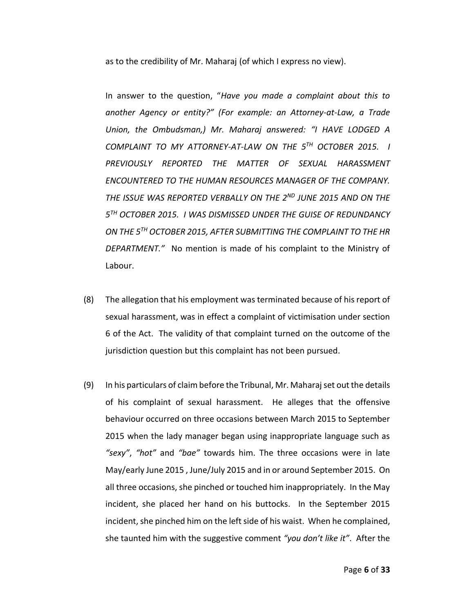as to the credibility of Mr. Maharaj (of which I express no view).

In answer to the question, "*Have you made a complaint about this to another Agency or entity?" (For example: an Attorney-at-Law, a Trade Union, the Ombudsman,) Mr. Maharaj answered: "I HAVE LODGED A COMPLAINT TO MY ATTORNEY-AT-LAW ON THE 5TH OCTOBER 2015. I PREVIOUSLY REPORTED THE MATTER OF SEXUAL HARASSMENT ENCOUNTERED TO THE HUMAN RESOURCES MANAGER OF THE COMPANY. THE ISSUE WAS REPORTED VERBALLY ON THE 2ND JUNE 2015 AND ON THE 5 TH OCTOBER 2015. I WAS DISMISSED UNDER THE GUISE OF REDUNDANCY ON THE 5TH OCTOBER 2015, AFTER SUBMITTING THE COMPLAINT TO THE HR DEPARTMENT."* No mention is made of his complaint to the Ministry of Labour.

- (8) The allegation that his employment was terminated because of his report of sexual harassment, was in effect a complaint of victimisation under section 6 of the Act. The validity of that complaint turned on the outcome of the jurisdiction question but this complaint has not been pursued.
- (9) In his particulars of claim before the Tribunal, Mr. Maharaj set out the details of his complaint of sexual harassment. He alleges that the offensive behaviour occurred on three occasions between March 2015 to September 2015 when the lady manager began using inappropriate language such as *"sexy"*, *"hot"* and *"bae"* towards him. The three occasions were in late May/early June 2015 , June/July 2015 and in or around September 2015. On all three occasions, she pinched or touched him inappropriately. In the May incident, she placed her hand on his buttocks. In the September 2015 incident, she pinched him on the left side of his waist. When he complained, she taunted him with the suggestive comment *"you don't like it"*. After the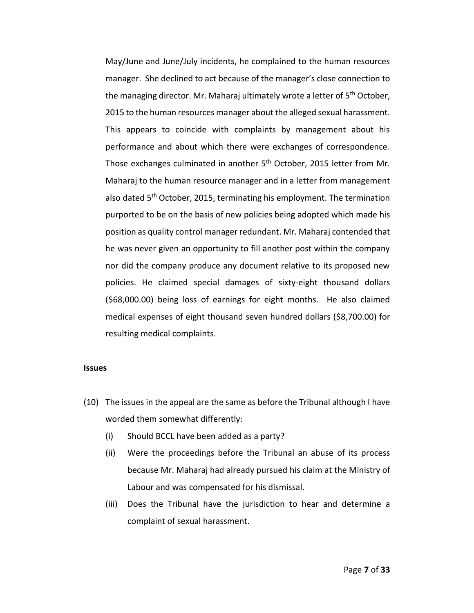May/June and June/July incidents, he complained to the human resources manager. She declined to act because of the manager's close connection to the managing director. Mr. Maharaj ultimately wrote a letter of 5<sup>th</sup> October, 2015 to the human resources manager about the alleged sexual harassment. This appears to coincide with complaints by management about his performance and about which there were exchanges of correspondence. Those exchanges culminated in another 5<sup>th</sup> October, 2015 letter from Mr. Maharaj to the human resource manager and in a letter from management also dated 5<sup>th</sup> October, 2015, terminating his employment. The termination purported to be on the basis of new policies being adopted which made his position as quality control manager redundant. Mr. Maharaj contended that he was never given an opportunity to fill another post within the company nor did the company produce any document relative to its proposed new policies. He claimed special damages of sixty-eight thousand dollars (\$68,000.00) being loss of earnings for eight months. He also claimed medical expenses of eight thousand seven hundred dollars (\$8,700.00) for resulting medical complaints.

#### **Issues**

- (10) The issues in the appeal are the same as before the Tribunal although I have worded them somewhat differently:
	- (i) Should BCCL have been added as a party?
	- (ii) Were the proceedings before the Tribunal an abuse of its process because Mr. Maharaj had already pursued his claim at the Ministry of Labour and was compensated for his dismissal.
	- (iii) Does the Tribunal have the jurisdiction to hear and determine a complaint of sexual harassment.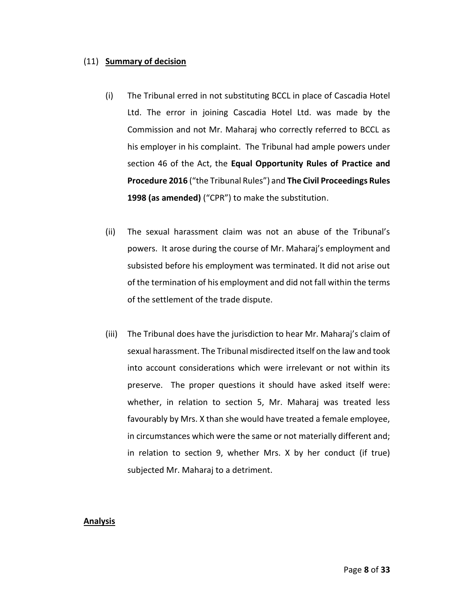# (11) **Summary of decision**

- (i) The Tribunal erred in not substituting BCCL in place of Cascadia Hotel Ltd. The error in joining Cascadia Hotel Ltd. was made by the Commission and not Mr. Maharaj who correctly referred to BCCL as his employer in his complaint. The Tribunal had ample powers under section 46 of the Act, the **Equal Opportunity Rules of Practice and Procedure 2016** ("the Tribunal Rules") and **The Civil Proceedings Rules 1998 (as amended)** ("CPR") to make the substitution.
- (ii) The sexual harassment claim was not an abuse of the Tribunal's powers. It arose during the course of Mr. Maharaj's employment and subsisted before his employment was terminated. It did not arise out of the termination of his employment and did not fall within the terms of the settlement of the trade dispute.
- (iii) The Tribunal does have the jurisdiction to hear Mr. Maharaj's claim of sexual harassment. The Tribunal misdirected itself on the law and took into account considerations which were irrelevant or not within its preserve. The proper questions it should have asked itself were: whether, in relation to section 5, Mr. Maharaj was treated less favourably by Mrs. X than she would have treated a female employee, in circumstances which were the same or not materially different and; in relation to section 9, whether Mrs. X by her conduct (if true) subjected Mr. Maharaj to a detriment.

# **Analysis**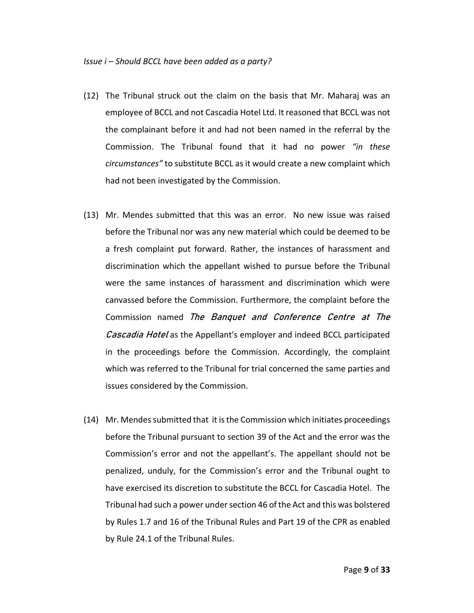- (12) The Tribunal struck out the claim on the basis that Mr. Maharaj was an employee of BCCL and not Cascadia Hotel Ltd. It reasoned that BCCL was not the complainant before it and had not been named in the referral by the Commission. The Tribunal found that it had no power *"in these circumstances"* to substitute BCCL as it would create a new complaint which had not been investigated by the Commission.
- (13) Mr. Mendes submitted that this was an error. No new issue was raised before the Tribunal nor was any new material which could be deemed to be a fresh complaint put forward. Rather, the instances of harassment and discrimination which the appellant wished to pursue before the Tribunal were the same instances of harassment and discrimination which were canvassed before the Commission. Furthermore, the complaint before the Commission named The Banquet and Conference Centre at The Cascadia Hotel as the Appellant's employer and indeed BCCL participated in the proceedings before the Commission. Accordingly, the complaint which was referred to the Tribunal for trial concerned the same parties and issues considered by the Commission.
- (14) Mr. Mendes submitted that it is the Commission which initiates proceedings before the Tribunal pursuant to section 39 of the Act and the error was the Commission's error and not the appellant's. The appellant should not be penalized, unduly, for the Commission's error and the Tribunal ought to have exercised its discretion to substitute the BCCL for Cascadia Hotel. The Tribunal had such a power under section 46 of the Act and this was bolstered by Rules 1.7 and 16 of the Tribunal Rules and Part 19 of the CPR as enabled by Rule 24.1 of the Tribunal Rules.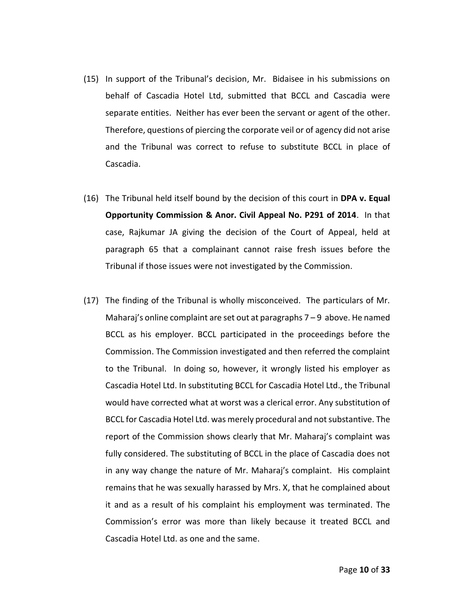- (15) In support of the Tribunal's decision, Mr. Bidaisee in his submissions on behalf of Cascadia Hotel Ltd, submitted that BCCL and Cascadia were separate entities. Neither has ever been the servant or agent of the other. Therefore, questions of piercing the corporate veil or of agency did not arise and the Tribunal was correct to refuse to substitute BCCL in place of Cascadia.
- (16) The Tribunal held itself bound by the decision of this court in **DPA v. Equal Opportunity Commission & Anor. Civil Appeal No. P291 of 2014**. In that case, Rajkumar JA giving the decision of the Court of Appeal, held at paragraph 65 that a complainant cannot raise fresh issues before the Tribunal if those issues were not investigated by the Commission.
- (17) The finding of the Tribunal is wholly misconceived. The particulars of Mr. Maharaj's online complaint are set out at paragraphs 7 – 9 above. He named BCCL as his employer. BCCL participated in the proceedings before the Commission. The Commission investigated and then referred the complaint to the Tribunal. In doing so, however, it wrongly listed his employer as Cascadia Hotel Ltd. In substituting BCCL for Cascadia Hotel Ltd., the Tribunal would have corrected what at worst was a clerical error. Any substitution of BCCL for Cascadia Hotel Ltd. was merely procedural and not substantive. The report of the Commission shows clearly that Mr. Maharaj's complaint was fully considered. The substituting of BCCL in the place of Cascadia does not in any way change the nature of Mr. Maharaj's complaint. His complaint remains that he was sexually harassed by Mrs. X, that he complained about it and as a result of his complaint his employment was terminated. The Commission's error was more than likely because it treated BCCL and Cascadia Hotel Ltd. as one and the same.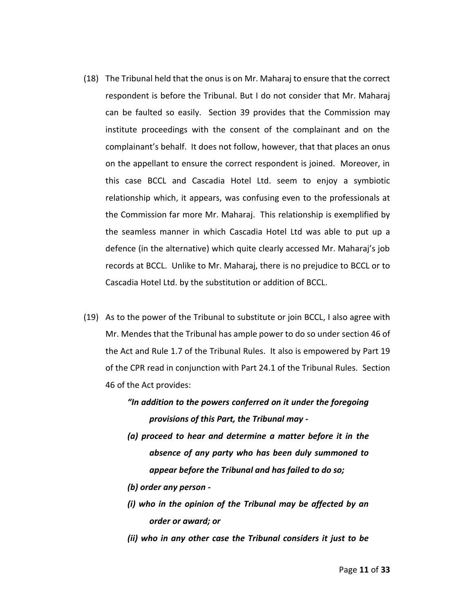- (18) The Tribunal held that the onus is on Mr. Maharaj to ensure that the correct respondent is before the Tribunal. But I do not consider that Mr. Maharaj can be faulted so easily. Section 39 provides that the Commission may institute proceedings with the consent of the complainant and on the complainant's behalf. It does not follow, however, that that places an onus on the appellant to ensure the correct respondent is joined. Moreover, in this case BCCL and Cascadia Hotel Ltd. seem to enjoy a symbiotic relationship which, it appears, was confusing even to the professionals at the Commission far more Mr. Maharaj. This relationship is exemplified by the seamless manner in which Cascadia Hotel Ltd was able to put up a defence (in the alternative) which quite clearly accessed Mr. Maharaj's job records at BCCL. Unlike to Mr. Maharaj, there is no prejudice to BCCL or to Cascadia Hotel Ltd. by the substitution or addition of BCCL.
- (19) As to the power of the Tribunal to substitute or join BCCL, I also agree with Mr. Mendes that the Tribunal has ample power to do so under section 46 of the Act and Rule 1.7 of the Tribunal Rules. It also is empowered by Part 19 of the CPR read in conjunction with Part 24.1 of the Tribunal Rules. Section 46 of the Act provides:
	- *"In addition to the powers conferred on it under the foregoing provisions of this Part, the Tribunal may -*
	- *(a) proceed to hear and determine a matter before it in the absence of any party who has been duly summoned to appear before the Tribunal and has failed to do so;*
	- *(b) order any person -*
	- *(i) who in the opinion of the Tribunal may be affected by an order or award; or*
	- *(ii) who in any other case the Tribunal considers it just to be*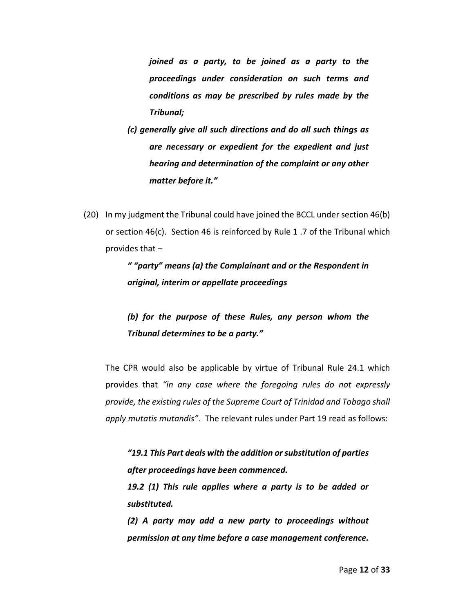*joined as a party, to be joined as a party to the proceedings under consideration on such terms and conditions as may be prescribed by rules made by the Tribunal;* 

- *(c) generally give all such directions and do all such things as are necessary or expedient for the expedient and just hearing and determination of the complaint or any other matter before it."*
- (20) In my judgment the Tribunal could have joined the BCCL under section 46(b) or section 46(c). Section 46 is reinforced by Rule 1 .7 of the Tribunal which provides that –

*" "party" means (a) the Complainant and or the Respondent in original, interim or appellate proceedings* 

# *(b) for the purpose of these Rules, any person whom the Tribunal determines to be a party."*

The CPR would also be applicable by virtue of Tribunal Rule 24.1 which provides that *"in any case where the foregoing rules do not expressly provide, the existing rules of the Supreme Court of Trinidad and Tobago shall apply mutatis mutandis"*. The relevant rules under Part 19 read as follows:

*"19.1 This Part deals with the addition or substitution of parties after proceedings have been commenced.* 

*19.2 (1) This rule applies where a party is to be added or substituted.* 

*(2) A party may add a new party to proceedings without permission at any time before a case management conference.*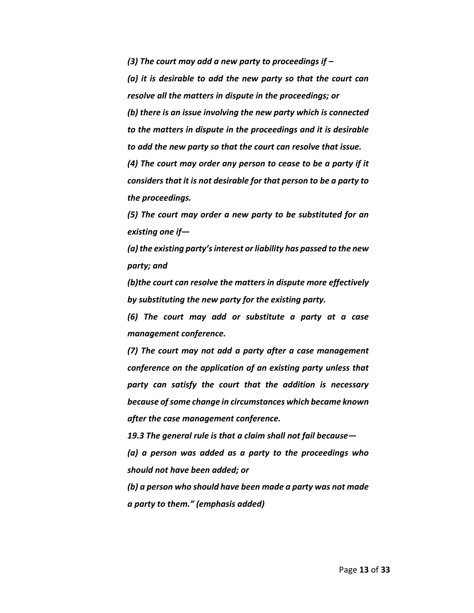*(3) The court may add a new party to proceedings if –*

*(a) it is desirable to add the new party so that the court can resolve all the matters in dispute in the proceedings; or* 

*(b) there is an issue involving the new party which is connected to the matters in dispute in the proceedings and it is desirable to add the new party so that the court can resolve that issue.* 

*(4) The court may order any person to cease to be a party if it considers that it is not desirable for that person to be a party to the proceedings.* 

*(5) The court may order a new party to be substituted for an existing one if—*

*(a) the existing party's interest or liability has passed to the new party; and*

*(b)the court can resolve the matters in dispute more effectively by substituting the new party for the existing party.* 

*(6) The court may add or substitute a party at a case management conference.* 

*(7) The court may not add a party after a case management conference on the application of an existing party unless that party can satisfy the court that the addition is necessary because of some change in circumstances which became known after the case management conference.* 

*19.3 The general rule is that a claim shall not fail because— (a) a person was added as a party to the proceedings who should not have been added; or* 

*(b) a person who should have been made a party was not made a party to them." (emphasis added)*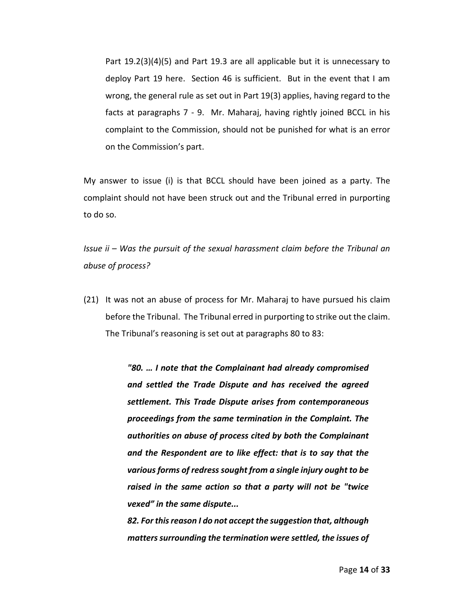Part 19.2(3)(4)(5) and Part 19.3 are all applicable but it is unnecessary to deploy Part 19 here. Section 46 is sufficient. But in the event that I am wrong, the general rule as set out in Part 19(3) applies, having regard to the facts at paragraphs 7 - 9. Mr. Maharaj, having rightly joined BCCL in his complaint to the Commission, should not be punished for what is an error on the Commission's part.

My answer to issue (i) is that BCCL should have been joined as a party. The complaint should not have been struck out and the Tribunal erred in purporting to do so.

*Issue ii – Was the pursuit of the sexual harassment claim before the Tribunal an abuse of process?* 

(21) It was not an abuse of process for Mr. Maharaj to have pursued his claim before the Tribunal. The Tribunal erred in purporting to strike out the claim. The Tribunal's reasoning is set out at paragraphs 80 to 83:

> *"80. … I note that the Complainant had already compromised and settled the Trade Dispute and has received the agreed settlement. This Trade Dispute arises from contemporaneous proceedings from the same termination in the Complaint. The authorities on abuse of process cited by both the Complainant and the Respondent are to like effect: that is to say that the various forms of redress sought from a single injury ought to be raised in the same action so that a party will not be "twice vexed" in the same dispute...*

> *82. For this reason I do not accept the suggestion that, although matters surrounding the termination were settled, the issues of*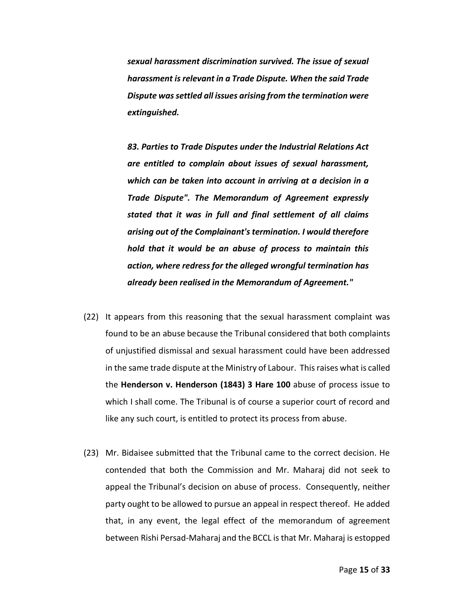*sexual harassment discrimination survived. The issue of sexual harassment is relevant in a Trade Dispute. When the said Trade Dispute was settled all issues arising from the termination were extinguished.*

*83. Parties to Trade Disputes under the Industrial Relations Act are entitled to complain about issues of sexual harassment, which can be taken into account in arriving at a decision in a Trade Dispute". The Memorandum of Agreement expressly stated that it was in full and final settlement of all claims arising out of the Complainant's termination. I would therefore hold that it would be an abuse of process to maintain this action, where redress for the alleged wrongful termination has already been realised in the Memorandum of Agreement."*

- (22) It appears from this reasoning that the sexual harassment complaint was found to be an abuse because the Tribunal considered that both complaints of unjustified dismissal and sexual harassment could have been addressed in the same trade dispute at the Ministry of Labour. This raises what is called the **Henderson v. Henderson (1843) 3 Hare 100** abuse of process issue to which I shall come. The Tribunal is of course a superior court of record and like any such court, is entitled to protect its process from abuse.
- (23) Mr. Bidaisee submitted that the Tribunal came to the correct decision. He contended that both the Commission and Mr. Maharaj did not seek to appeal the Tribunal's decision on abuse of process. Consequently, neither party ought to be allowed to pursue an appeal in respect thereof. He added that, in any event, the legal effect of the memorandum of agreement between Rishi Persad-Maharaj and the BCCL is that Mr. Maharaj is estopped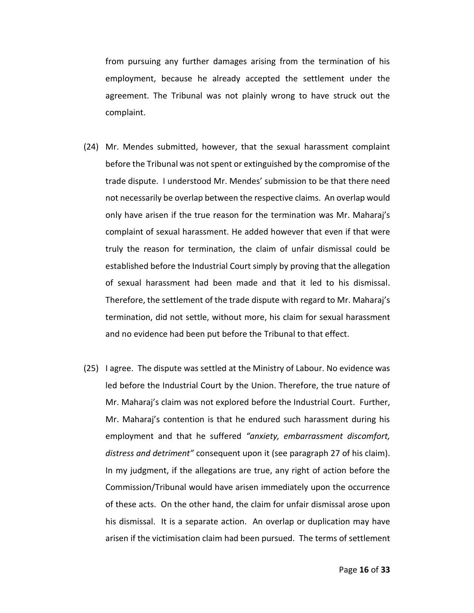from pursuing any further damages arising from the termination of his employment, because he already accepted the settlement under the agreement. The Tribunal was not plainly wrong to have struck out the complaint.

- (24) Mr. Mendes submitted, however, that the sexual harassment complaint before the Tribunal was not spent or extinguished by the compromise of the trade dispute. I understood Mr. Mendes' submission to be that there need not necessarily be overlap between the respective claims. An overlap would only have arisen if the true reason for the termination was Mr. Maharaj's complaint of sexual harassment. He added however that even if that were truly the reason for termination, the claim of unfair dismissal could be established before the Industrial Court simply by proving that the allegation of sexual harassment had been made and that it led to his dismissal. Therefore, the settlement of the trade dispute with regard to Mr. Maharaj's termination, did not settle, without more, his claim for sexual harassment and no evidence had been put before the Tribunal to that effect.
- (25) I agree. The dispute was settled at the Ministry of Labour. No evidence was led before the Industrial Court by the Union. Therefore, the true nature of Mr. Maharaj's claim was not explored before the Industrial Court. Further, Mr. Maharaj's contention is that he endured such harassment during his employment and that he suffered *"anxiety, embarrassment discomfort, distress and detriment"* consequent upon it (see paragraph 27 of his claim). In my judgment, if the allegations are true, any right of action before the Commission/Tribunal would have arisen immediately upon the occurrence of these acts. On the other hand, the claim for unfair dismissal arose upon his dismissal. It is a separate action. An overlap or duplication may have arisen if the victimisation claim had been pursued. The terms of settlement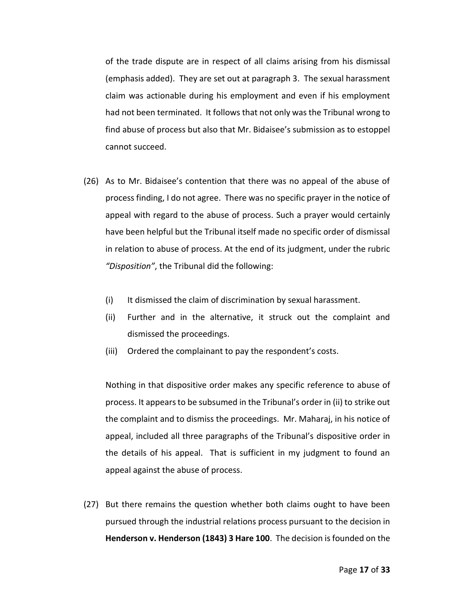of the trade dispute are in respect of all claims arising from his dismissal (emphasis added). They are set out at paragraph 3. The sexual harassment claim was actionable during his employment and even if his employment had not been terminated. It follows that not only was the Tribunal wrong to find abuse of process but also that Mr. Bidaisee's submission as to estoppel cannot succeed.

- (26) As to Mr. Bidaisee's contention that there was no appeal of the abuse of process finding, I do not agree. There was no specific prayer in the notice of appeal with regard to the abuse of process. Such a prayer would certainly have been helpful but the Tribunal itself made no specific order of dismissal in relation to abuse of process. At the end of its judgment, under the rubric *"Disposition"*, the Tribunal did the following:
	- (i) It dismissed the claim of discrimination by sexual harassment.
	- (ii) Further and in the alternative, it struck out the complaint and dismissed the proceedings.
	- (iii) Ordered the complainant to pay the respondent's costs.

Nothing in that dispositive order makes any specific reference to abuse of process. It appears to be subsumed in the Tribunal's order in (ii) to strike out the complaint and to dismiss the proceedings. Mr. Maharaj, in his notice of appeal, included all three paragraphs of the Tribunal's dispositive order in the details of his appeal. That is sufficient in my judgment to found an appeal against the abuse of process.

(27) But there remains the question whether both claims ought to have been pursued through the industrial relations process pursuant to the decision in **Henderson v. Henderson (1843) 3 Hare 100**. The decision is founded on the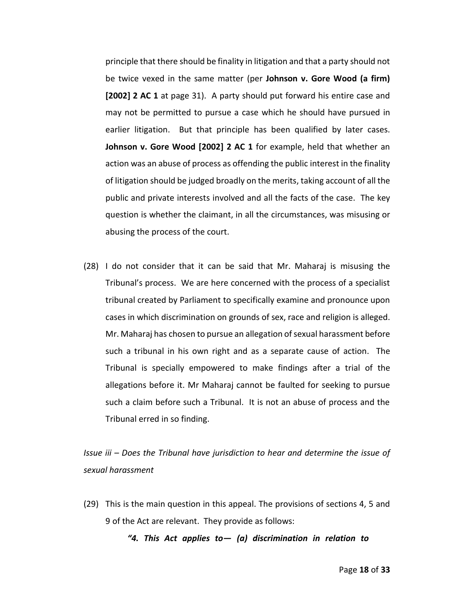principle that there should be finality in litigation and that a party should not be twice vexed in the same matter (per **Johnson v. Gore Wood (a firm) [2002] 2 AC 1** at page 31). A party should put forward his entire case and may not be permitted to pursue a case which he should have pursued in earlier litigation. But that principle has been qualified by later cases. **Johnson v. Gore Wood [2002] 2 AC 1** for example, held that whether an action was an abuse of process as offending the public interest in the finality of litigation should be judged broadly on the merits, taking account of all the public and private interests involved and all the facts of the case. The key question is whether the claimant, in all the circumstances, was misusing or abusing the process of the court.

(28) I do not consider that it can be said that Mr. Maharaj is misusing the Tribunal's process. We are here concerned with the process of a specialist tribunal created by Parliament to specifically examine and pronounce upon cases in which discrimination on grounds of sex, race and religion is alleged. Mr. Maharaj has chosen to pursue an allegation of sexual harassment before such a tribunal in his own right and as a separate cause of action. The Tribunal is specially empowered to make findings after a trial of the allegations before it. Mr Maharaj cannot be faulted for seeking to pursue such a claim before such a Tribunal. It is not an abuse of process and the Tribunal erred in so finding.

*Issue iii – Does the Tribunal have jurisdiction to hear and determine the issue of sexual harassment*

(29) This is the main question in this appeal. The provisions of sections 4, 5 and 9 of the Act are relevant. They provide as follows:

*"4. This Act applies to— (a) discrimination in relation to*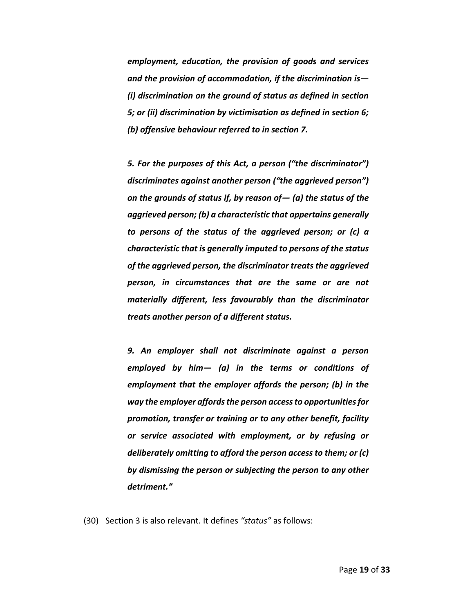*employment, education, the provision of goods and services and the provision of accommodation, if the discrimination is— (i) discrimination on the ground of status as defined in section 5; or (ii) discrimination by victimisation as defined in section 6; (b) offensive behaviour referred to in section 7.*

*5. For the purposes of this Act, a person ("the discriminator") discriminates against another person ("the aggrieved person") on the grounds of status if, by reason of— (a) the status of the aggrieved person; (b) a characteristic that appertains generally to persons of the status of the aggrieved person; or (c) a characteristic that is generally imputed to persons of the status of the aggrieved person, the discriminator treats the aggrieved person, in circumstances that are the same or are not materially different, less favourably than the discriminator treats another person of a different status.*

*9. An employer shall not discriminate against a person employed by him— (a) in the terms or conditions of employment that the employer affords the person; (b) in the way the employer affordsthe person access to opportunities for promotion, transfer or training or to any other benefit, facility or service associated with employment, or by refusing or deliberately omitting to afford the person access to them; or (c) by dismissing the person or subjecting the person to any other detriment."*

(30) Section 3 is also relevant. It defines *"status"* as follows: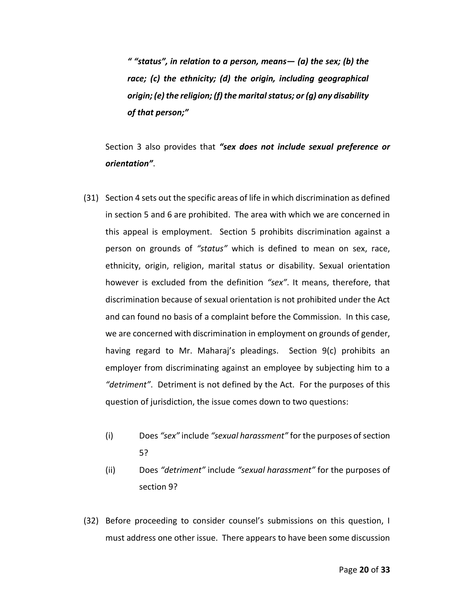*" "status", in relation to a person, means— (a) the sex; (b) the race; (c) the ethnicity; (d) the origin, including geographical origin; (e) the religion; (f) the marital status; or (g) any disability of that person;"*

Section 3 also provides that *"sex does not include sexual preference or orientation"*.

- (31) Section 4 sets out the specific areas of life in which discrimination as defined in section 5 and 6 are prohibited. The area with which we are concerned in this appeal is employment. Section 5 prohibits discrimination against a person on grounds of *"status"* which is defined to mean on sex, race, ethnicity, origin, religion, marital status or disability. Sexual orientation however is excluded from the definition *"sex"*. It means, therefore, that discrimination because of sexual orientation is not prohibited under the Act and can found no basis of a complaint before the Commission. In this case, we are concerned with discrimination in employment on grounds of gender, having regard to Mr. Maharaj's pleadings. Section 9(c) prohibits an employer from discriminating against an employee by subjecting him to a *"detriment"*. Detriment is not defined by the Act. For the purposes of this question of jurisdiction, the issue comes down to two questions:
	- (i) Does *"sex"* include *"sexual harassment"* for the purposes of section 5?
	- (ii) Does *"detriment"* include *"sexual harassment"* for the purposes of section 9?
- (32) Before proceeding to consider counsel's submissions on this question, I must address one other issue. There appears to have been some discussion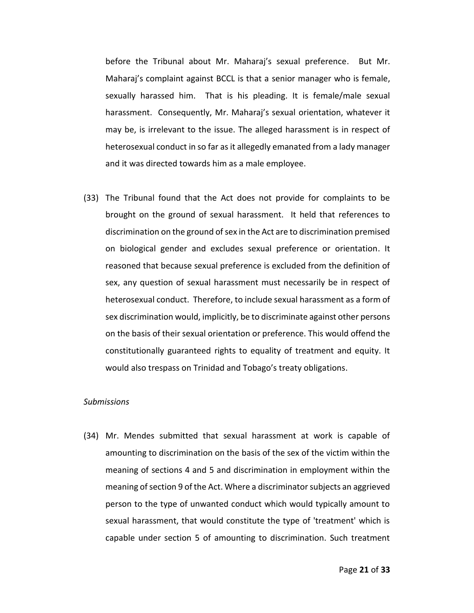before the Tribunal about Mr. Maharaj's sexual preference. But Mr. Maharaj's complaint against BCCL is that a senior manager who is female, sexually harassed him. That is his pleading. It is female/male sexual harassment. Consequently, Mr. Maharaj's sexual orientation, whatever it may be, is irrelevant to the issue. The alleged harassment is in respect of heterosexual conduct in so far as it allegedly emanated from a lady manager and it was directed towards him as a male employee.

(33) The Tribunal found that the Act does not provide for complaints to be brought on the ground of sexual harassment. It held that references to discrimination on the ground of sex in the Act are to discrimination premised on biological gender and excludes sexual preference or orientation. It reasoned that because sexual preference is excluded from the definition of sex, any question of sexual harassment must necessarily be in respect of heterosexual conduct. Therefore, to include sexual harassment as a form of sex discrimination would, implicitly, be to discriminate against other persons on the basis of their sexual orientation or preference. This would offend the constitutionally guaranteed rights to equality of treatment and equity. It would also trespass on Trinidad and Tobago's treaty obligations.

## *Submissions*

(34) Mr. Mendes submitted that sexual harassment at work is capable of amounting to discrimination on the basis of the sex of the victim within the meaning of sections 4 and 5 and discrimination in employment within the meaning of section 9 of the Act. Where a discriminator subjects an aggrieved person to the type of unwanted conduct which would typically amount to sexual harassment, that would constitute the type of 'treatment' which is capable under section 5 of amounting to discrimination. Such treatment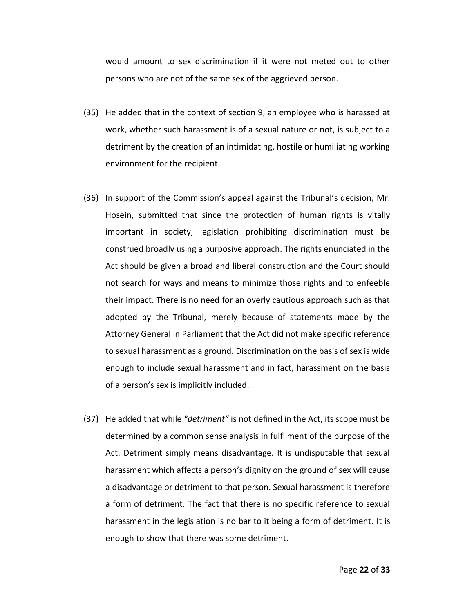would amount to sex discrimination if it were not meted out to other persons who are not of the same sex of the aggrieved person.

- (35) He added that in the context of section 9, an employee who is harassed at work, whether such harassment is of a sexual nature or not, is subject to a detriment by the creation of an intimidating, hostile or humiliating working environment for the recipient.
- (36) In support of the Commission's appeal against the Tribunal's decision, Mr. Hosein, submitted that since the protection of human rights is vitally important in society, legislation prohibiting discrimination must be construed broadly using a purposive approach. The rights enunciated in the Act should be given a broad and liberal construction and the Court should not search for ways and means to minimize those rights and to enfeeble their impact. There is no need for an overly cautious approach such as that adopted by the Tribunal, merely because of statements made by the Attorney General in Parliament that the Act did not make specific reference to sexual harassment as a ground. Discrimination on the basis of sex is wide enough to include sexual harassment and in fact, harassment on the basis of a person's sex is implicitly included.
- (37) He added that while *"detriment"* is not defined in the Act, its scope must be determined by a common sense analysis in fulfilment of the purpose of the Act. Detriment simply means disadvantage. It is undisputable that sexual harassment which affects a person's dignity on the ground of sex will cause a disadvantage or detriment to that person. Sexual harassment is therefore a form of detriment. The fact that there is no specific reference to sexual harassment in the legislation is no bar to it being a form of detriment. It is enough to show that there was some detriment.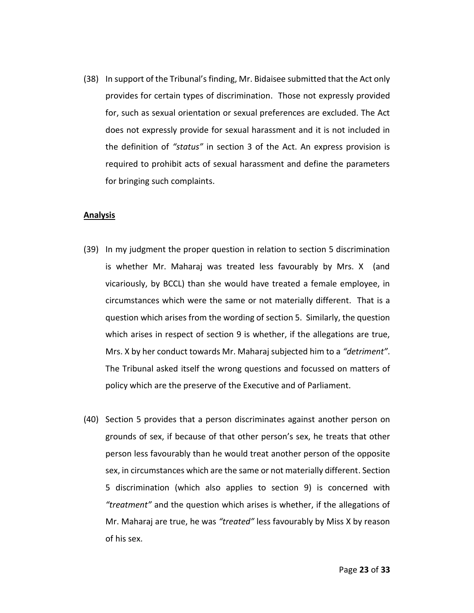(38) In support of the Tribunal's finding, Mr. Bidaisee submitted that the Act only provides for certain types of discrimination. Those not expressly provided for, such as sexual orientation or sexual preferences are excluded. The Act does not expressly provide for sexual harassment and it is not included in the definition of *"status"* in section 3 of the Act. An express provision is required to prohibit acts of sexual harassment and define the parameters for bringing such complaints.

## **Analysis**

- (39) In my judgment the proper question in relation to section 5 discrimination is whether Mr. Maharaj was treated less favourably by Mrs. X (and vicariously, by BCCL) than she would have treated a female employee, in circumstances which were the same or not materially different. That is a question which arises from the wording of section 5. Similarly, the question which arises in respect of section 9 is whether, if the allegations are true, Mrs. X by her conduct towards Mr. Maharaj subjected him to a *"detriment"*. The Tribunal asked itself the wrong questions and focussed on matters of policy which are the preserve of the Executive and of Parliament.
- (40) Section 5 provides that a person discriminates against another person on grounds of sex, if because of that other person's sex, he treats that other person less favourably than he would treat another person of the opposite sex, in circumstances which are the same or not materially different. Section 5 discrimination (which also applies to section 9) is concerned with *"treatment"* and the question which arises is whether, if the allegations of Mr. Maharaj are true, he was *"treated"* less favourably by Miss X by reason of his sex.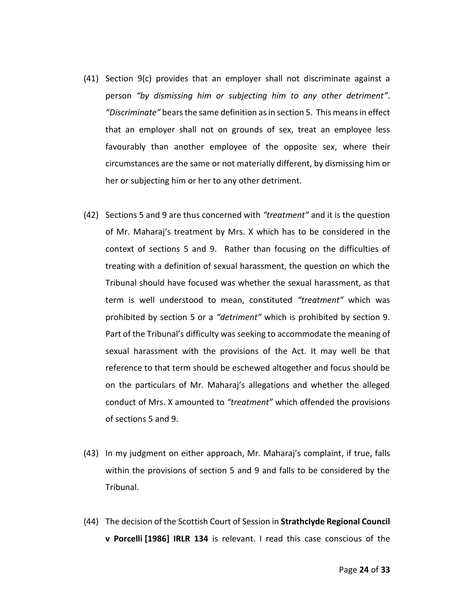- (41) Section 9(c) provides that an employer shall not discriminate against a person *"by dismissing him or subjecting him to any other detriment"*. *"Discriminate"* bears the same definition as in section 5. This means in effect that an employer shall not on grounds of sex, treat an employee less favourably than another employee of the opposite sex, where their circumstances are the same or not materially different, by dismissing him or her or subjecting him or her to any other detriment.
- (42) Sections 5 and 9 are thus concerned with *"treatment"* and it is the question of Mr. Maharaj's treatment by Mrs. X which has to be considered in the context of sections 5 and 9. Rather than focusing on the difficulties of treating with a definition of sexual harassment, the question on which the Tribunal should have focused was whether the sexual harassment, as that term is well understood to mean, constituted *"treatment"* which was prohibited by section 5 or a *"detriment"* which is prohibited by section 9. Part of the Tribunal's difficulty was seeking to accommodate the meaning of sexual harassment with the provisions of the Act. It may well be that reference to that term should be eschewed altogether and focus should be on the particulars of Mr. Maharaj's allegations and whether the alleged conduct of Mrs. X amounted to *"treatment"* which offended the provisions of sections 5 and 9.
- (43) In my judgment on either approach, Mr. Maharaj's complaint, if true, falls within the provisions of section 5 and 9 and falls to be considered by the Tribunal.
- (44) The decision of the Scottish Court of Session in **Strathclyde Regional Council v Porcelli [1986] IRLR 134** is relevant. I read this case conscious of the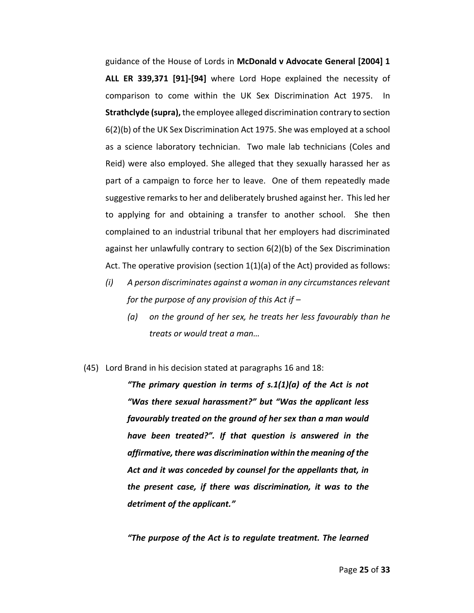guidance of the House of Lords in **McDonald v Advocate General [2004] 1 ALL ER 339,371 [91]-[94]** where Lord Hope explained the necessity of comparison to come within the UK Sex Discrimination Act 1975. In **Strathclyde (supra),** the employee alleged discrimination contrary to section 6(2)(b) of the UK Sex Discrimination Act 1975. She was employed at a school as a science laboratory technician. Two male lab technicians (Coles and Reid) were also employed. She alleged that they sexually harassed her as part of a campaign to force her to leave. One of them repeatedly made suggestive remarks to her and deliberately brushed against her. This led her to applying for and obtaining a transfer to another school. She then complained to an industrial tribunal that her employers had discriminated against her unlawfully contrary to section 6(2)(b) of the Sex Discrimination Act. The operative provision (section 1(1)(a) of the Act) provided as follows:

- *(i) A person discriminates against a woman in any circumstances relevant for the purpose of any provision of this Act if –*
	- *(a) on the ground of her sex, he treats her less favourably than he treats or would treat a man…*
- (45) Lord Brand in his decision stated at paragraphs 16 and 18:

*"The primary question in terms of s.1(1)(a) of the Act is not "Was there sexual harassment?" but "Was the applicant less favourably treated on the ground of her sex than a man would have been treated?". If that question is answered in the affirmative, there was discrimination within the meaning of the Act and it was conceded by counsel for the appellants that, in the present case, if there was discrimination, it was to the detriment of the applicant."*

*"The purpose of the Act is to regulate treatment. The learned*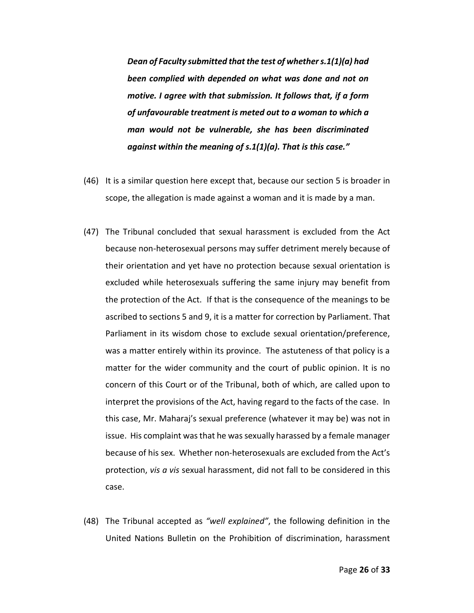*Dean of Faculty submitted that the test of whether s.1(1)(a) had been complied with depended on what was done and not on motive. I agree with that submission. It follows that, if a form of unfavourable treatment is meted out to a woman to which a man would not be vulnerable, she has been discriminated against within the meaning of s.1(1)(a). That is this case."*

- (46) It is a similar question here except that, because our section 5 is broader in scope, the allegation is made against a woman and it is made by a man.
- (47) The Tribunal concluded that sexual harassment is excluded from the Act because non-heterosexual persons may suffer detriment merely because of their orientation and yet have no protection because sexual orientation is excluded while heterosexuals suffering the same injury may benefit from the protection of the Act. If that is the consequence of the meanings to be ascribed to sections 5 and 9, it is a matter for correction by Parliament. That Parliament in its wisdom chose to exclude sexual orientation/preference, was a matter entirely within its province. The astuteness of that policy is a matter for the wider community and the court of public opinion. It is no concern of this Court or of the Tribunal, both of which, are called upon to interpret the provisions of the Act, having regard to the facts of the case. In this case, Mr. Maharaj's sexual preference (whatever it may be) was not in issue. His complaint was that he was sexually harassed by a female manager because of his sex. Whether non-heterosexuals are excluded from the Act's protection, *vis a vis* sexual harassment, did not fall to be considered in this case.
- (48) The Tribunal accepted as *"well explained"*, the following definition in the United Nations Bulletin on the Prohibition of discrimination, harassment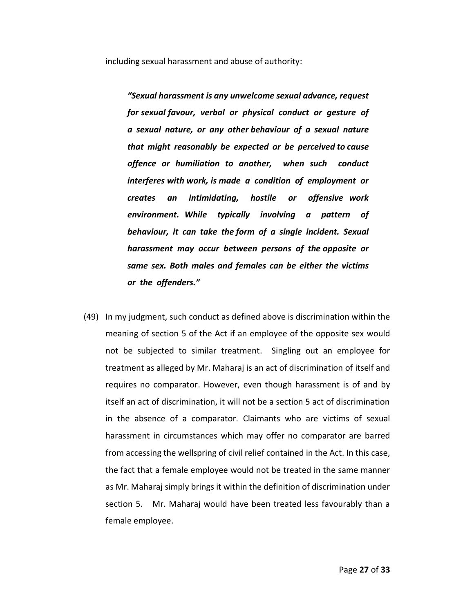including sexual harassment and abuse of authority:

*"Sexual harassment is any unwelcome sexual advance, request for sexual favour, verbal or physical conduct or gesture of a sexual nature, or any other behaviour of a sexual nature that might reasonably be expected or be perceived to cause offence or humiliation to another, when such conduct interferes with work, is made a condition of employment or creates an intimidating, hostile or offensive work environment. While typically involving a pattern of behaviour, it can take the form of a single incident. Sexual harassment may occur between persons of the opposite or same sex. Both males and females can be either the victims or the offenders."* 

(49) In my judgment, such conduct as defined above is discrimination within the meaning of section 5 of the Act if an employee of the opposite sex would not be subjected to similar treatment. Singling out an employee for treatment as alleged by Mr. Maharaj is an act of discrimination of itself and requires no comparator. However, even though harassment is of and by itself an act of discrimination, it will not be a section 5 act of discrimination in the absence of a comparator. Claimants who are victims of sexual harassment in circumstances which may offer no comparator are barred from accessing the wellspring of civil relief contained in the Act. In this case, the fact that a female employee would not be treated in the same manner as Mr. Maharaj simply brings it within the definition of discrimination under section 5. Mr. Maharaj would have been treated less favourably than a female employee.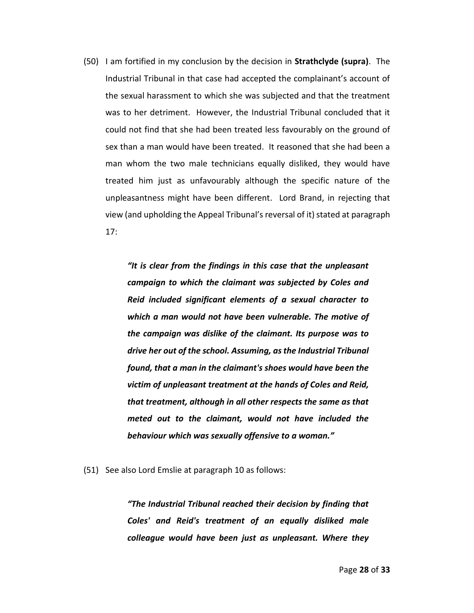(50) I am fortified in my conclusion by the decision in **Strathclyde (supra)**. The Industrial Tribunal in that case had accepted the complainant's account of the sexual harassment to which she was subjected and that the treatment was to her detriment. However, the Industrial Tribunal concluded that it could not find that she had been treated less favourably on the ground of sex than a man would have been treated. It reasoned that she had been a man whom the two male technicians equally disliked, they would have treated him just as unfavourably although the specific nature of the unpleasantness might have been different. Lord Brand, in rejecting that view (and upholding the Appeal Tribunal'sreversal of it) stated at paragraph 17:

> *"It is clear from the findings in this case that the unpleasant campaign to which the claimant was subjected by Coles and Reid included significant elements of a sexual character to which a man would not have been vulnerable. The motive of the campaign was dislike of the claimant. Its purpose was to drive her out of the school. Assuming, as the Industrial Tribunal found, that a man in the claimant's shoes would have been the victim of unpleasant treatment at the hands of Coles and Reid, that treatment, although in all other respects the same as that meted out to the claimant, would not have included the behaviour which was sexually offensive to a woman."*

(51) See also Lord Emslie at paragraph 10 as follows:

*"The Industrial Tribunal reached their decision by finding that Coles' and Reid's treatment of an equally disliked male colleague would have been just as unpleasant. Where they*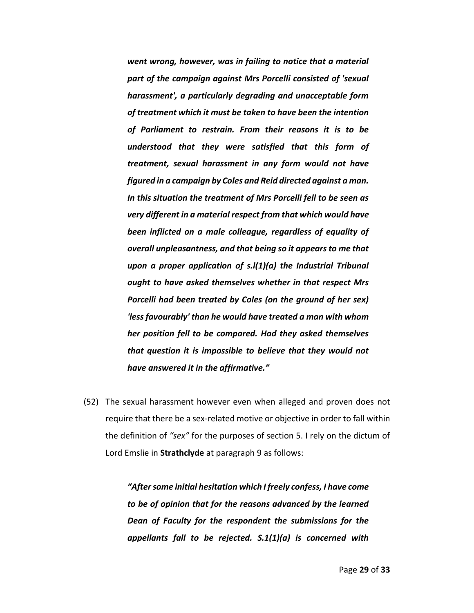*went wrong, however, was in failing to notice that a material part of the campaign against Mrs Porcelli consisted of 'sexual harassment', a particularly degrading and unacceptable form of treatment which it must be taken to have been the intention of Parliament to restrain. From their reasons it is to be understood that they were satisfied that this form of treatment, sexual harassment in any form would not have figured in a campaign by Coles and Reid directed against a man. In this situation the treatment of Mrs Porcelli fell to be seen as very different in a material respect from that which would have been inflicted on a male colleague, regardless of equality of overall unpleasantness, and that being so it appears to me that upon a proper application of s.l(1)(a) the Industrial Tribunal ought to have asked themselves whether in that respect Mrs Porcelli had been treated by Coles (on the ground of her sex) 'less favourably' than he would have treated a man with whom her position fell to be compared. Had they asked themselves that question it is impossible to believe that they would not have answered it in the affirmative."*

(52) The sexual harassment however even when alleged and proven does not require that there be a sex-related motive or objective in order to fall within the definition of *"sex"* for the purposes of section 5. I rely on the dictum of Lord Emslie in **Strathclyde** at paragraph 9 as follows:

> *"After some initial hesitation which I freely confess, I have come to be of opinion that for the reasons advanced by the learned Dean of Faculty for the respondent the submissions for the appellants fall to be rejected. S.1(1)(a) is concerned with*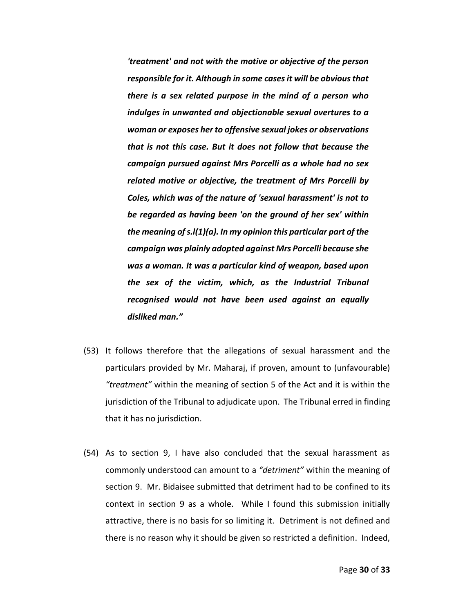*'treatment' and not with the motive or objective of the person responsible for it. Although in some cases it will be obvious that there is a sex related purpose in the mind of a person who indulges in unwanted and objectionable sexual overtures to a woman or exposes her to offensive sexual jokes or observations that is not this case. But it does not follow that because the campaign pursued against Mrs Porcelli as a whole had no sex related motive or objective, the treatment of Mrs Porcelli by Coles, which was of the nature of 'sexual harassment' is not to be regarded as having been 'on the ground of her sex' within the meaning of s.l(1)(a). In my opinion this particular part of the campaign was plainly adopted against Mrs Porcelli because she was a woman. It was a particular kind of weapon, based upon the sex of the victim, which, as the Industrial Tribunal recognised would not have been used against an equally disliked man."*

- (53) It follows therefore that the allegations of sexual harassment and the particulars provided by Mr. Maharaj, if proven, amount to (unfavourable) *"treatment"* within the meaning of section 5 of the Act and it is within the jurisdiction of the Tribunal to adjudicate upon. The Tribunal erred in finding that it has no jurisdiction.
- (54) As to section 9, I have also concluded that the sexual harassment as commonly understood can amount to a *"detriment"* within the meaning of section 9. Mr. Bidaisee submitted that detriment had to be confined to its context in section 9 as a whole. While I found this submission initially attractive, there is no basis for so limiting it. Detriment is not defined and there is no reason why it should be given so restricted a definition. Indeed,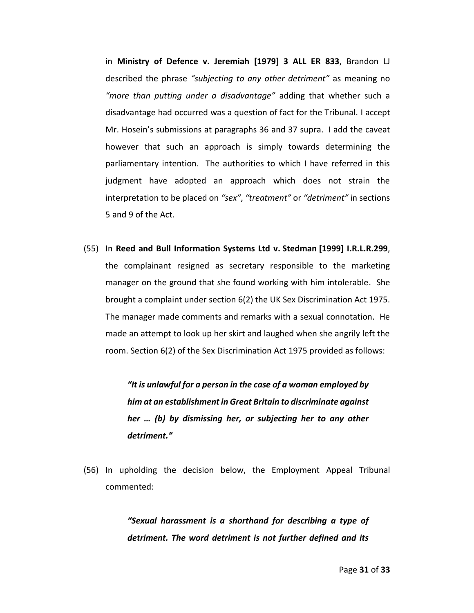in **Ministry of Defence v. Jeremiah [1979] 3 ALL ER 833**, Brandon LJ described the phrase *"subjecting to any other detriment"* as meaning no *"more than putting under a disadvantage"* adding that whether such a disadvantage had occurred was a question of fact for the Tribunal. I accept Mr. Hosein's submissions at paragraphs 36 and 37 supra. I add the caveat however that such an approach is simply towards determining the parliamentary intention. The authorities to which I have referred in this judgment have adopted an approach which does not strain the interpretation to be placed on *"sex"*, *"treatment"* or *"detriment"* in sections 5 and 9 of the Act.

(55) In **Reed and Bull Information Systems Ltd v. Stedman [1999] I.R.L.R.299**, the complainant resigned as secretary responsible to the marketing manager on the ground that she found working with him intolerable. She brought a complaint under section 6(2) the UK Sex Discrimination Act 1975. The manager made comments and remarks with a sexual connotation. He made an attempt to look up her skirt and laughed when she angrily left the room. Section 6(2) of the Sex Discrimination Act 1975 provided as follows:

> *"It is unlawful for a person in the case of a woman employed by him at an establishment in Great Britain to discriminate against her … (b) by dismissing her, or subjecting her to any other detriment."*

(56) In upholding the decision below, the Employment Appeal Tribunal commented:

> *"Sexual harassment is a shorthand for describing a type of detriment. The word detriment is not further defined and its*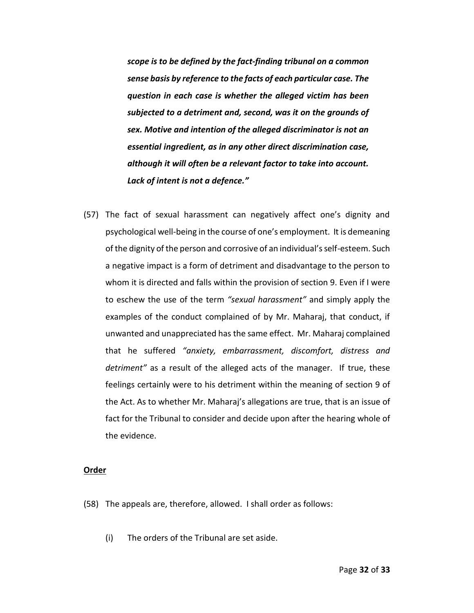*scope is to be defined by the fact-finding tribunal on a common sense basis by reference to the facts of each particular case. The question in each case is whether the alleged victim has been subjected to a detriment and, second, was it on the grounds of sex. Motive and intention of the alleged discriminator is not an essential ingredient, as in any other direct discrimination case, although it will often be a relevant factor to take into account. Lack of intent is not a defence."*

(57) The fact of sexual harassment can negatively affect one's dignity and psychological well-being in the course of one's employment. It is demeaning of the dignity of the person and corrosive of an individual's self-esteem. Such a negative impact is a form of detriment and disadvantage to the person to whom it is directed and falls within the provision of section 9. Even if I were to eschew the use of the term *"sexual harassment"* and simply apply the examples of the conduct complained of by Mr. Maharaj, that conduct, if unwanted and unappreciated has the same effect. Mr. Maharaj complained that he suffered *"anxiety, embarrassment, discomfort, distress and detriment"* as a result of the alleged acts of the manager. If true, these feelings certainly were to his detriment within the meaning of section 9 of the Act. As to whether Mr. Maharaj's allegations are true, that is an issue of fact for the Tribunal to consider and decide upon after the hearing whole of the evidence.

#### **Order**

- (58) The appeals are, therefore, allowed. I shall order as follows:
	- (i) The orders of the Tribunal are set aside.